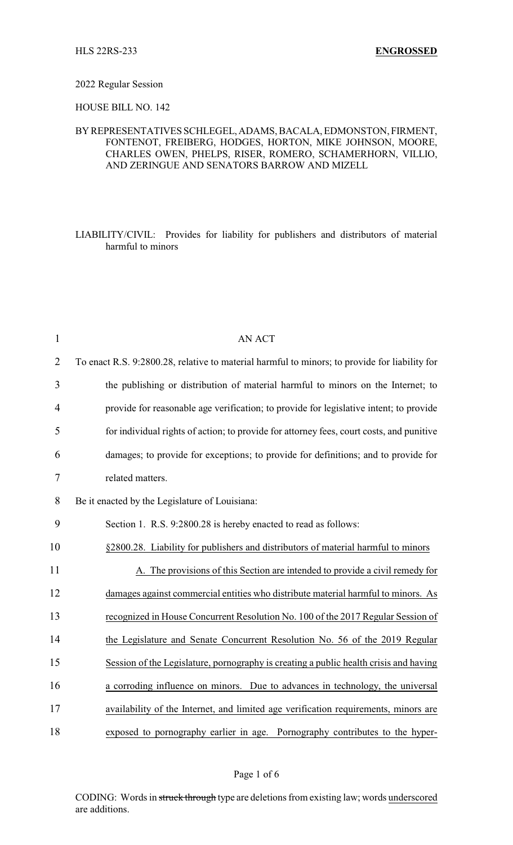## 2022 Regular Session

HOUSE BILL NO. 142

## BYREPRESENTATIVES SCHLEGEL, ADAMS, BACALA, EDMONSTON, FIRMENT, FONTENOT, FREIBERG, HODGES, HORTON, MIKE JOHNSON, MOORE, CHARLES OWEN, PHELPS, RISER, ROMERO, SCHAMERHORN, VILLIO, AND ZERINGUE AND SENATORS BARROW AND MIZELL

LIABILITY/CIVIL: Provides for liability for publishers and distributors of material harmful to minors

| $\mathbf{1}$   | <b>AN ACT</b>                                                                                 |
|----------------|-----------------------------------------------------------------------------------------------|
| 2              | To enact R.S. 9:2800.28, relative to material harmful to minors; to provide for liability for |
| 3              | the publishing or distribution of material harmful to minors on the Internet; to              |
| $\overline{4}$ | provide for reasonable age verification; to provide for legislative intent; to provide        |
| 5              | for individual rights of action; to provide for attorney fees, court costs, and punitive      |
| 6              | damages; to provide for exceptions; to provide for definitions; and to provide for            |
| $\tau$         | related matters.                                                                              |
| 8              | Be it enacted by the Legislature of Louisiana:                                                |
| 9              | Section 1. R.S. 9:2800.28 is hereby enacted to read as follows:                               |
| 10             | §2800.28. Liability for publishers and distributors of material harmful to minors             |
| 11             | A. The provisions of this Section are intended to provide a civil remedy for                  |
| 12             | damages against commercial entities who distribute material harmful to minors. As             |
| 13             | recognized in House Concurrent Resolution No. 100 of the 2017 Regular Session of              |
| 14             | the Legislature and Senate Concurrent Resolution No. 56 of the 2019 Regular                   |
| 15             | Session of the Legislature, pornography is creating a public health crisis and having         |
| 16             | a corroding influence on minors. Due to advances in technology, the universal                 |
| 17             | availability of the Internet, and limited age verification requirements, minors are           |
| 18             | exposed to pornography earlier in age. Pornography contributes to the hyper-                  |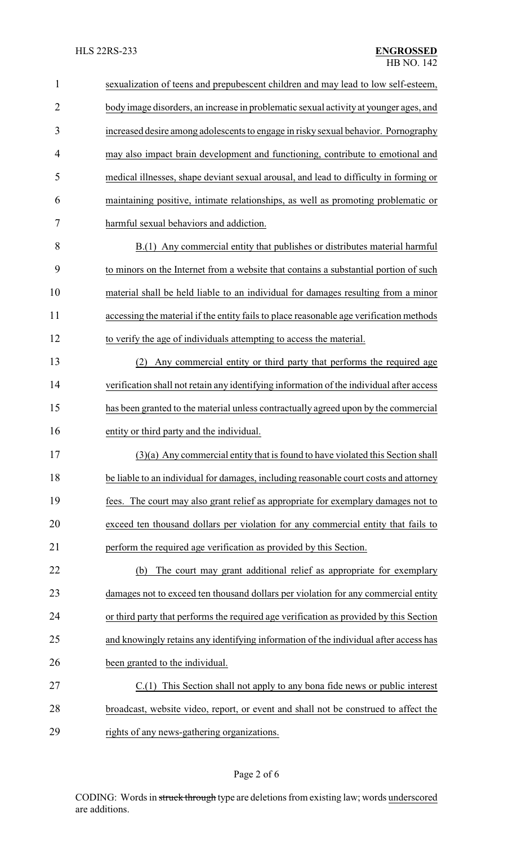| $\mathbf{1}$   | sexualization of teens and prepubescent children and may lead to low self-esteem,        |
|----------------|------------------------------------------------------------------------------------------|
| $\overline{2}$ | body image disorders, an increase in problematic sexual activity at younger ages, and    |
| 3              | increased desire among adolescents to engage in risky sexual behavior. Pornography       |
| $\overline{4}$ | may also impact brain development and functioning, contribute to emotional and           |
| 5              | medical illnesses, shape deviant sexual arousal, and lead to difficulty in forming or    |
| 6              | maintaining positive, intimate relationships, as well as promoting problematic or        |
| 7              | harmful sexual behaviors and addiction.                                                  |
| 8              | B.(1) Any commercial entity that publishes or distributes material harmful               |
| 9              | to minors on the Internet from a website that contains a substantial portion of such     |
| 10             | material shall be held liable to an individual for damages resulting from a minor        |
| 11             | accessing the material if the entity fails to place reasonable age verification methods  |
| 12             | to verify the age of individuals attempting to access the material.                      |
| 13             | Any commercial entity or third party that performs the required age<br>(2)               |
| 14             | verification shall not retain any identifying information of the individual after access |
| 15             | has been granted to the material unless contractually agreed upon by the commercial      |
| 16             | entity or third party and the individual.                                                |
| 17             | $(3)(a)$ Any commercial entity that is found to have violated this Section shall         |
| 18             | be liable to an individual for damages, including reasonable court costs and attorney    |
| 19             | fees. The court may also grant relief as appropriate for exemplary damages not to        |
| 20             | exceed ten thousand dollars per violation for any commercial entity that fails to        |
| 21             | perform the required age verification as provided by this Section.                       |
| 22             | The court may grant additional relief as appropriate for exemplary<br>(b)                |
| 23             | damages not to exceed ten thousand dollars per violation for any commercial entity       |
| 24             | or third party that performs the required age verification as provided by this Section   |
| 25             | and knowingly retains any identifying information of the individual after access has     |
| 26             | been granted to the individual.                                                          |
| 27             | C.(1) This Section shall not apply to any bona fide news or public interest              |
| 28             | broadcast, website video, report, or event and shall not be construed to affect the      |
| 29             | rights of any news-gathering organizations.                                              |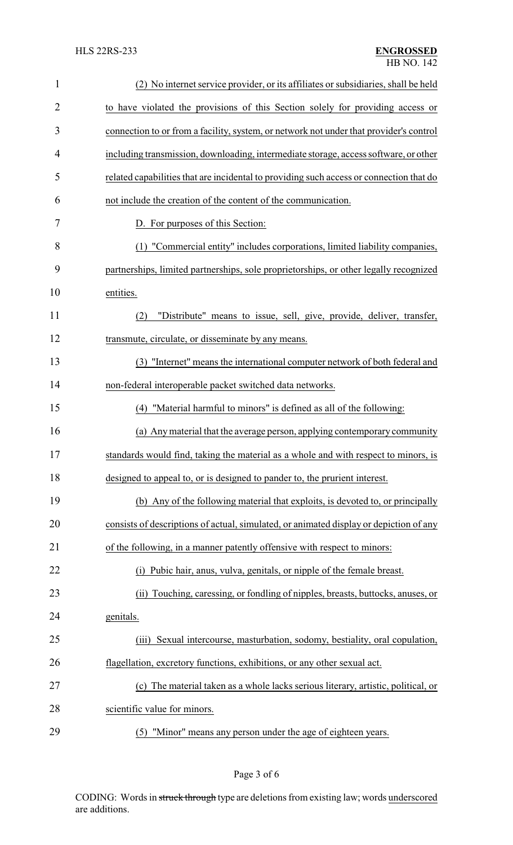| $\mathbf{1}$   | (2) No internet service provider, or its affiliates or subsidiaries, shall be held      |
|----------------|-----------------------------------------------------------------------------------------|
| $\overline{2}$ | to have violated the provisions of this Section solely for providing access or          |
| 3              | connection to or from a facility, system, or network not under that provider's control  |
| 4              | including transmission, downloading, intermediate storage, access software, or other    |
| 5              | related capabilities that are incidental to providing such access or connection that do |
| 6              | not include the creation of the content of the communication.                           |
| 7              | D. For purposes of this Section:                                                        |
| 8              | (1) "Commercial entity" includes corporations, limited liability companies,             |
| 9              | partnerships, limited partnerships, sole proprietorships, or other legally recognized   |
| 10             | entities.                                                                               |
| 11             | "Distribute" means to issue, sell, give, provide, deliver, transfer,<br>(2)             |
| 12             | transmute, circulate, or disseminate by any means.                                      |
| 13             | (3) "Internet" means the international computer network of both federal and             |
| 14             | non-federal interoperable packet switched data networks.                                |
| 15             | (4) "Material harmful to minors" is defined as all of the following:                    |
| 16             | (a) Any material that the average person, applying contemporary community               |
| 17             | standards would find, taking the material as a whole and with respect to minors, is     |
| 18             | designed to appeal to, or is designed to pander to, the prurient interest.              |
| 19             | (b) Any of the following material that exploits, is devoted to, or principally          |
| 20             | consists of descriptions of actual, simulated, or animated display or depiction of any  |
| 21             | of the following, in a manner patently offensive with respect to minors:                |
| 22             | (i) Pubic hair, anus, vulva, genitals, or nipple of the female breast.                  |
| 23             | (ii) Touching, caressing, or fondling of nipples, breasts, buttocks, anuses, or         |
| 24             | genitals.                                                                               |
| 25             | Sexual intercourse, masturbation, sodomy, bestiality, oral copulation,<br>(iii)         |
| 26             | flagellation, excretory functions, exhibitions, or any other sexual act.                |
| 27             | (c) The material taken as a whole lacks serious literary, artistic, political, or       |
| 28             | scientific value for minors.                                                            |
| 29             | (5) "Minor" means any person under the age of eighteen years.                           |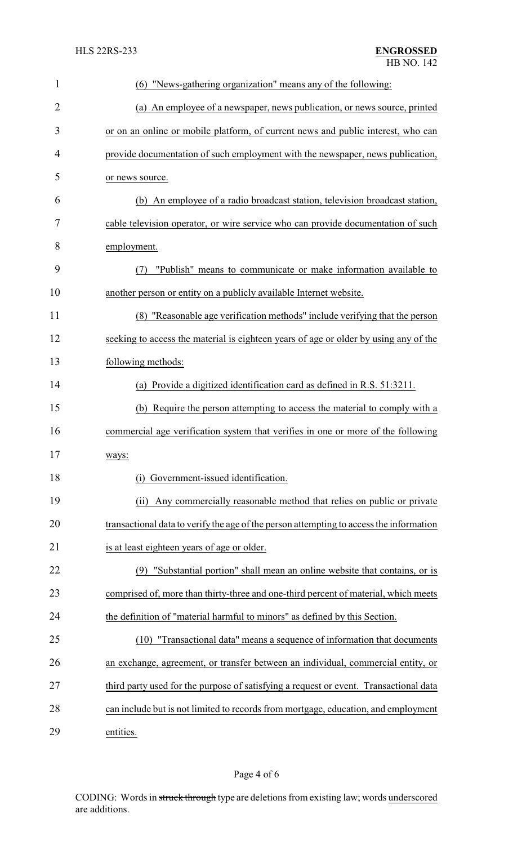| $\mathbf{1}$   | "News-gathering organization" means any of the following:<br>(6)                        |  |  |
|----------------|-----------------------------------------------------------------------------------------|--|--|
| $\overline{2}$ | (a) An employee of a newspaper, news publication, or news source, printed               |  |  |
| 3              | or on an online or mobile platform, of current news and public interest, who can        |  |  |
| 4              | provide documentation of such employment with the newspaper, news publication,          |  |  |
| 5              | or news source.                                                                         |  |  |
| 6              | (b) An employee of a radio broadcast station, television broadcast station,             |  |  |
| 7              | cable television operator, or wire service who can provide documentation of such        |  |  |
| 8              | employment.                                                                             |  |  |
| 9              | "Publish" means to communicate or make information available to<br>(7)                  |  |  |
| 10             | another person or entity on a publicly available Internet website.                      |  |  |
| 11             | (8) "Reasonable age verification methods" include verifying that the person             |  |  |
| 12             | seeking to access the material is eighteen years of age or older by using any of the    |  |  |
| 13             | following methods:                                                                      |  |  |
| 14             | (a) Provide a digitized identification card as defined in R.S. 51:3211.                 |  |  |
| 15             | (b) Require the person attempting to access the material to comply with a               |  |  |
| 16             | commercial age verification system that verifies in one or more of the following        |  |  |
| 17             | ways:                                                                                   |  |  |
| 18             | Government-issued identification.<br>(i)                                                |  |  |
| 19             | Any commercially reasonable method that relies on public or private<br>(ii)             |  |  |
| 20             | transactional data to verify the age of the person attempting to access the information |  |  |
| 21             | is at least eighteen years of age or older.                                             |  |  |
| 22             | (9) "Substantial portion" shall mean an online website that contains, or is             |  |  |
| 23             | comprised of, more than thirty-three and one-third percent of material, which meets     |  |  |
| 24             | the definition of "material harmful to minors" as defined by this Section.              |  |  |
| 25             | (10) "Transactional data" means a sequence of information that documents                |  |  |
| 26             | an exchange, agreement, or transfer between an individual, commercial entity, or        |  |  |
| 27             | third party used for the purpose of satisfying a request or event. Transactional data   |  |  |
| 28             | can include but is not limited to records from mortgage, education, and employment      |  |  |
| 29             | entities.                                                                               |  |  |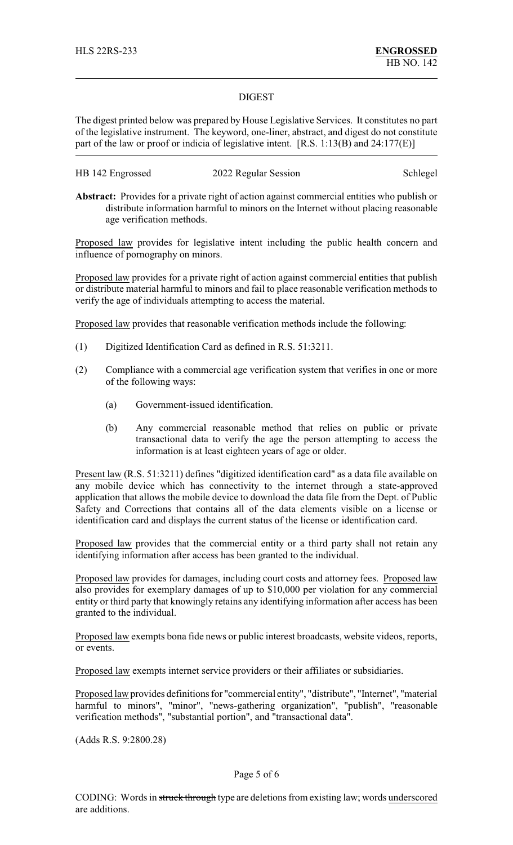## DIGEST

The digest printed below was prepared by House Legislative Services. It constitutes no part of the legislative instrument. The keyword, one-liner, abstract, and digest do not constitute part of the law or proof or indicia of legislative intent. [R.S. 1:13(B) and 24:177(E)]

| HB 142 Engrossed | 2022 Regular Session | Schlegel |
|------------------|----------------------|----------|
|------------------|----------------------|----------|

**Abstract:** Provides for a private right of action against commercial entities who publish or distribute information harmful to minors on the Internet without placing reasonable age verification methods.

Proposed law provides for legislative intent including the public health concern and influence of pornography on minors.

Proposed law provides for a private right of action against commercial entities that publish or distribute material harmful to minors and fail to place reasonable verification methods to verify the age of individuals attempting to access the material.

Proposed law provides that reasonable verification methods include the following:

- (1) Digitized Identification Card as defined in R.S. 51:3211.
- (2) Compliance with a commercial age verification system that verifies in one or more of the following ways:
	- (a) Government-issued identification.
	- (b) Any commercial reasonable method that relies on public or private transactional data to verify the age the person attempting to access the information is at least eighteen years of age or older.

Present law (R.S. 51:3211) defines "digitized identification card" as a data file available on any mobile device which has connectivity to the internet through a state-approved application that allows the mobile device to download the data file from the Dept. of Public Safety and Corrections that contains all of the data elements visible on a license or identification card and displays the current status of the license or identification card.

Proposed law provides that the commercial entity or a third party shall not retain any identifying information after access has been granted to the individual.

Proposed law provides for damages, including court costs and attorney fees. Proposed law also provides for exemplary damages of up to \$10,000 per violation for any commercial entity or third party that knowingly retains any identifying information after access has been granted to the individual.

Proposed law exempts bona fide news or public interest broadcasts, website videos, reports, or events.

Proposed law exempts internet service providers or their affiliates or subsidiaries.

Proposed law provides definitions for "commercial entity", "distribute", "Internet", "material harmful to minors", "minor", "news-gathering organization", "publish", "reasonable verification methods", "substantial portion", and "transactional data".

(Adds R.S. 9:2800.28)